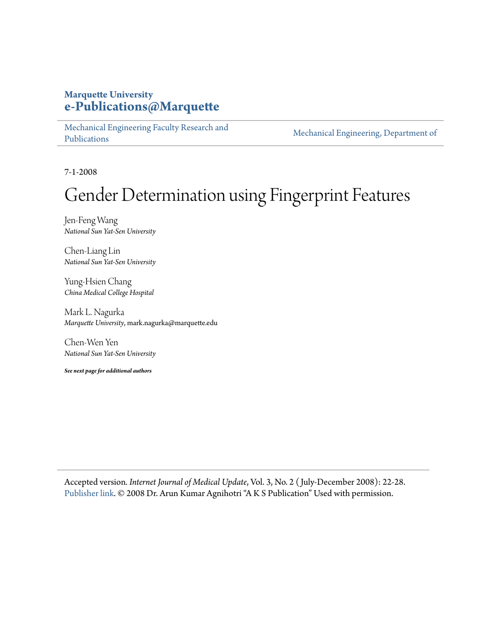# **Marquette University [e-Publications@Marquette](https://epublications.marquette.edu)**

[Mechanical Engineering Faculty Research and](https://epublications.marquette.edu/mechengin_fac) [Publications](https://epublications.marquette.edu/mechengin_fac)

[Mechanical Engineering, Department of](https://epublications.marquette.edu/mechengin)

7-1-2008

# Gender Determination using Fingerprint Features

Jen-Feng Wang *National Sun Yat-Sen University*

Chen-Liang Lin *National Sun Yat-Sen University*

Yung-Hsien Chang *China Medical College Hospital*

Mark L. Nagurka *Marquette University*, mark.nagurka@marquette.edu

Chen-Wen Yen *National Sun Yat-Sen University*

*See next page for additional authors*

Accepted version*. Internet Journal of Medical Update*, Vol. 3, No. 2 ( July-December 2008): 22-28. [Publisher link](https://www.akspublication.com/paper04_jul-dec2008.htm). © 2008 Dr. Arun Kumar Agnihotri "A K S Publication" Used with permission.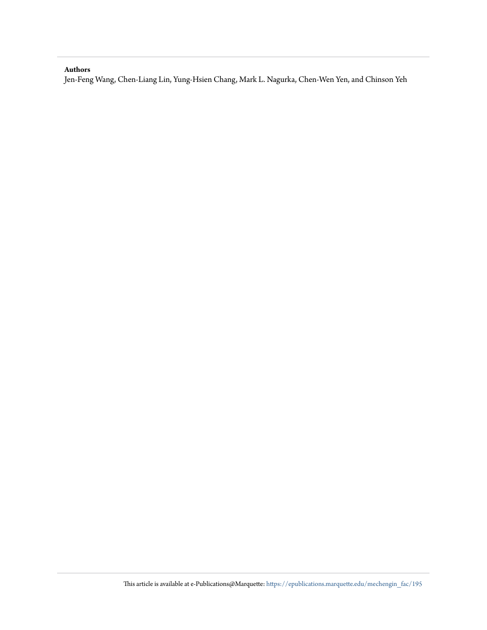#### **Authors**

Jen-Feng Wang, Chen-Liang Lin, Yung-Hsien Chang, Mark L. Nagurka, Chen-Wen Yen, and Chinson Yeh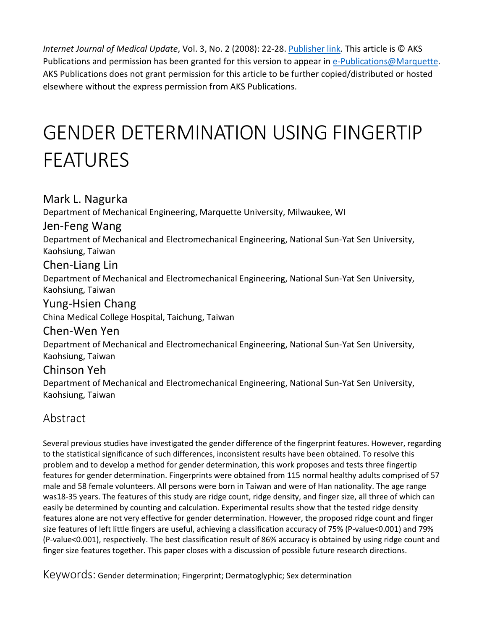*Internet Journal of Medical Update*, Vol. 3, No. 2 (2008): 22-28. [Publisher link.](https://www.akspublication.com/paper04_jul-dec2008.htm) This article is © AKS Publications and permission has been granted for this version to appear in [e-Publications@Marquette.](http://epublications.marquette.edu/) AKS Publications does not grant permission for this article to be further copied/distributed or hosted elsewhere without the express permission from AKS Publications.

# GENDER DETERMINATION USING FINGERTIP FEATURES

# Mark L. Nagurka

Department of Mechanical Engineering, Marquette University, Milwaukee, WI

### Jen-Feng Wang

Department of Mechanical and Electromechanical Engineering, National Sun-Yat Sen University, Kaohsiung, Taiwan

### Chen-Liang Lin

Department of Mechanical and Electromechanical Engineering, National Sun-Yat Sen University, Kaohsiung, Taiwan

# Yung-Hsien Chang

China Medical College Hospital, Taichung, Taiwan

### Chen-Wen Yen

Department of Mechanical and Electromechanical Engineering, National Sun-Yat Sen University, Kaohsiung, Taiwan

### Chinson Yeh

Department of Mechanical and Electromechanical Engineering, National Sun-Yat Sen University, Kaohsiung, Taiwan

# Abstract

Several previous studies have investigated the gender difference of the fingerprint features. However, regarding to the statistical significance of such differences, inconsistent results have been obtained. To resolve this problem and to develop a method for gender determination, this work proposes and tests three fingertip features for gender determination. Fingerprints were obtained from 115 normal healthy adults comprised of 57 male and 58 female volunteers. All persons were born in Taiwan and were of Han nationality. The age range was18-35 years. The features of this study are ridge count, ridge density, and finger size, all three of which can easily be determined by counting and calculation. Experimental results show that the tested ridge density features alone are not very effective for gender determination. However, the proposed ridge count and finger size features of left little fingers are useful, achieving a classification accuracy of 75% (P-value<0.001) and 79% (P-value<0.001), respectively. The best classification result of 86% accuracy is obtained by using ridge count and finger size features together. This paper closes with a discussion of possible future research directions.

Keywords: Gender determination; Fingerprint; Dermatoglyphic; Sex determination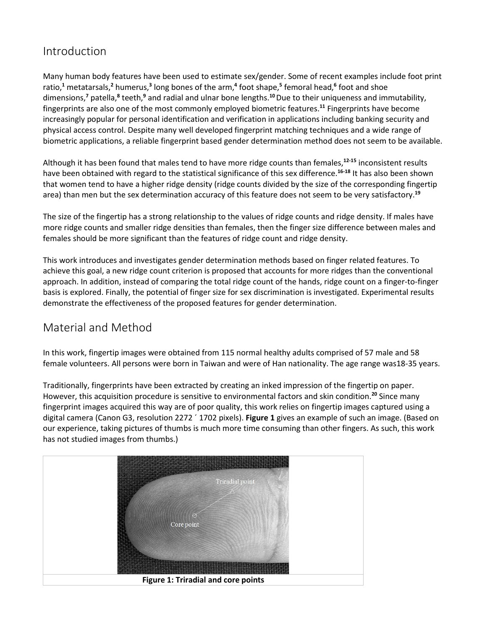# Introduction

Many human body features have been used to estimate sex/gender. Some of recent examples include foot print ratio,**<sup>1</sup>** metatarsals,**<sup>2</sup>** humerus,**<sup>3</sup>** long bones of the arm,**<sup>4</sup>** foot shape,**<sup>5</sup>** femoral head,**<sup>6</sup>** foot and shoe dimensions,**<sup>7</sup>** patella,**<sup>8</sup>** teeth,**<sup>9</sup>** and radial and ulnar bone lengths.**<sup>10</sup>**Due to their uniqueness and immutability, fingerprints are also one of the most commonly employed biometric features.**<sup>11</sup>** Fingerprints have become increasingly popular for personal identification and verification in applications including banking security and physical access control. Despite many well developed fingerprint matching techniques and a wide range of biometric applications, a reliable fingerprint based gender determination method does not seem to be available.

Although it has been found that males tend to have more ridge counts than females,**12-15** inconsistent results have been obtained with regard to the statistical significance of this sex difference.**16-18** It has also been shown that women tend to have a higher ridge density (ridge counts divided by the size of the corresponding fingertip area) than men but the sex determination accuracy of this feature does not seem to be very satisfactory.**<sup>19</sup>**

The size of the fingertip has a strong relationship to the values of ridge counts and ridge density. If males have more ridge counts and smaller ridge densities than females, then the finger size difference between males and females should be more significant than the features of ridge count and ridge density.

This work introduces and investigates gender determination methods based on finger related features. To achieve this goal, a new ridge count criterion is proposed that accounts for more ridges than the conventional approach. In addition, instead of comparing the total ridge count of the hands, ridge count on a finger-to-finger basis is explored. Finally, the potential of finger size for sex discrimination is investigated. Experimental results demonstrate the effectiveness of the proposed features for gender determination.

# Material and Method

In this work, fingertip images were obtained from 115 normal healthy adults comprised of 57 male and 58 female volunteers. All persons were born in Taiwan and were of Han nationality. The age range was18-35 years.

Traditionally, fingerprints have been extracted by creating an inked impression of the fingertip on paper. However, this acquisition procedure is sensitive to environmental factors and skin condition.**<sup>20</sup>** Since many fingerprint images acquired this way are of poor quality, this work relies on fingertip images captured using a digital camera (Canon G3, resolution 2272 ´ 1702 pixels). **Figure 1** gives an example of such an image. (Based on our experience, taking pictures of thumbs is much more time consuming than other fingers. As such, this work has not studied images from thumbs.)

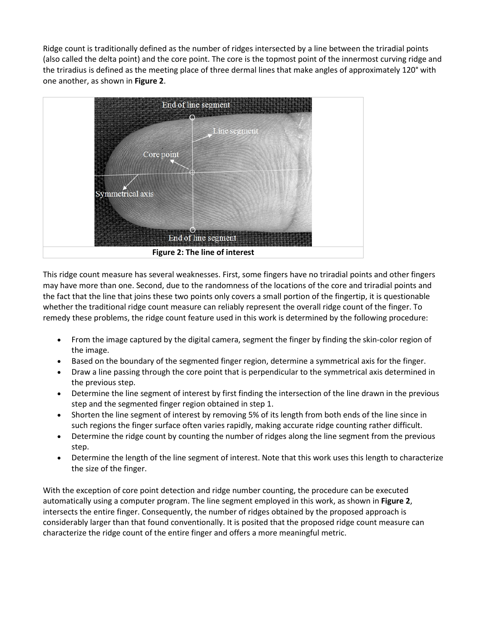Ridge count is traditionally defined as the number of ridges intersected by a line between the triradial points (also called the delta point) and the core point. The core is the topmost point of the innermost curving ridge and the triradius is defined as the meeting place of three dermal lines that make angles of approximately 120° with one another, as shown in **Figure 2**.



This ridge count measure has several weaknesses. First, some fingers have no triradial points and other fingers may have more than one. Second, due to the randomness of the locations of the core and triradial points and the fact that the line that joins these two points only covers a small portion of the fingertip, it is questionable whether the traditional ridge count measure can reliably represent the overall ridge count of the finger. To remedy these problems, the ridge count feature used in this work is determined by the following procedure:

- From the image captured by the digital camera, segment the finger by finding the skin-color region of the image.
- Based on the boundary of the segmented finger region, determine a symmetrical axis for the finger.
- Draw a line passing through the core point that is perpendicular to the symmetrical axis determined in the previous step.
- Determine the line segment of interest by first finding the intersection of the line drawn in the previous step and the segmented finger region obtained in step 1.
- Shorten the line segment of interest by removing 5% of its length from both ends of the line since in such regions the finger surface often varies rapidly, making accurate ridge counting rather difficult.
- Determine the ridge count by counting the number of ridges along the line segment from the previous step.
- Determine the length of the line segment of interest. Note that this work uses this length to characterize the size of the finger.

With the exception of core point detection and ridge number counting, the procedure can be executed automatically using a computer program. The line segment employed in this work, as shown in **Figure 2**, intersects the entire finger. Consequently, the number of ridges obtained by the proposed approach is considerably larger than that found conventionally. It is posited that the proposed ridge count measure can characterize the ridge count of the entire finger and offers a more meaningful metric.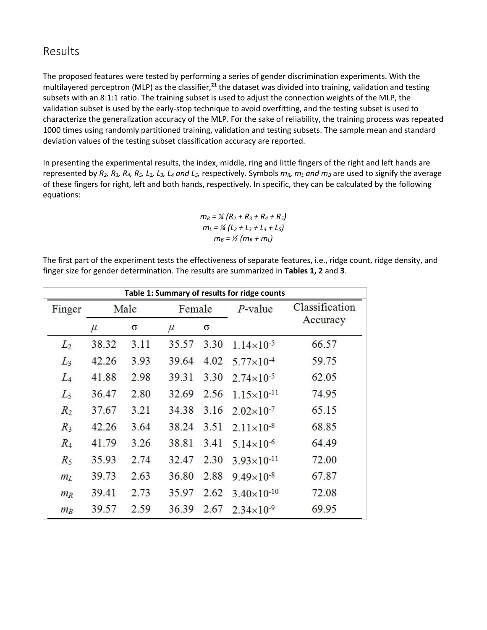# Results

The proposed features were tested by performing a series of gender discrimination experiments. With the multilayered perceptron (MLP) as the classifier,**<sup>21</sup>** the dataset was divided into training, validation and testing subsets with an 8:1:1 ratio. The training subset is used to adjust the connection weights of the MLP, the validation subset is used by the early-stop technique to avoid overfitting, and the testing subset is used to characterize the generalization accuracy of the MLP. For the sake of reliability, the training process was repeated 1000 times using randomly partitioned training, validation and testing subsets. The sample mean and standard deviation values of the testing subset classification accuracy are reported.

In presenting the experimental results, the index, middle, ring and little fingers of the right and left hands are represented by  $R_2$ ,  $R_3$ ,  $R_4$ ,  $R_5$ ,  $L_2$ ,  $L_3$ ,  $L_4$  and  $L_5$ , respectively. Symbols  $m_R$ ,  $m_L$  and  $m_B$  are used to signify the average of these fingers for right, left and both hands, respectively. In specific, they can be calculated by the following equations:

$$
m_R = \frac{1}{4} (R_2 + R_3 + R_4 + R_5)
$$
  
\n
$$
m_L = \frac{1}{4} (L_2 + L_3 + L_4 + L_5)
$$
  
\n
$$
m_B = \frac{1}{2} (m_R + m_L)
$$

The first part of the experiment tests the effectiveness of separate features, i.e., ridge count, ridge density, and finger size for gender determination. The results are summarized in **Tables 1, 2** and **3**.

| Table 1: Summary of results for ridge counts |       |      |        |      |                        |                |  |  |
|----------------------------------------------|-------|------|--------|------|------------------------|----------------|--|--|
| Finger                                       | Male  |      | Female |      | $P$ -value             | Classification |  |  |
|                                              | $\mu$ | σ    | $\mu$  | σ    |                        | Accuracy       |  |  |
| $L_2$                                        | 38.32 | 3.11 | 35.57  | 3.30 | $1.14\times10^{-5}$    | 66.57          |  |  |
| $L_3$                                        | 42.26 | 3.93 | 39.64  | 4.02 | $5.77 \times 10^{-4}$  | 59.75          |  |  |
| $L_4$                                        | 41.88 | 2.98 | 39.31  | 3.30 | $2.74 \times 10^{-5}$  | 62.05          |  |  |
| $L_5$                                        | 36.47 | 2.80 | 32.69  | 2.56 | $1.15 \times 10^{-11}$ | 74.95          |  |  |
| R <sub>2</sub>                               | 37.67 | 3.21 | 34.38  | 3.16 | $2.02\times10^{-7}$    | 65.15          |  |  |
| $R_3$                                        | 42.26 | 3.64 | 38.24  | 3.51 | $2.11 \times 10^{-8}$  | 68.85          |  |  |
| $R_4$                                        | 41.79 | 3.26 | 38.81  | 3.41 | $5.14 \times 10^{-6}$  | 64.49          |  |  |
| $R_5$                                        | 35.93 | 2.74 | 32.47  | 2.30 | $3.93\times10^{-11}$   | 72.00          |  |  |
| m <sub>L</sub>                               | 39.73 | 2.63 | 36.80  | 2.88 | $9.49\times10^{-8}$    | 67.87          |  |  |
| $m_R$                                        | 39.41 | 2.73 | 35.97  | 2.62 | $3.40\times10^{-10}$   | 72.08          |  |  |
| $m_B$                                        | 39.57 | 2.59 | 36.39  | 2.67 | $2.34\times10^{-9}$    | 69.95          |  |  |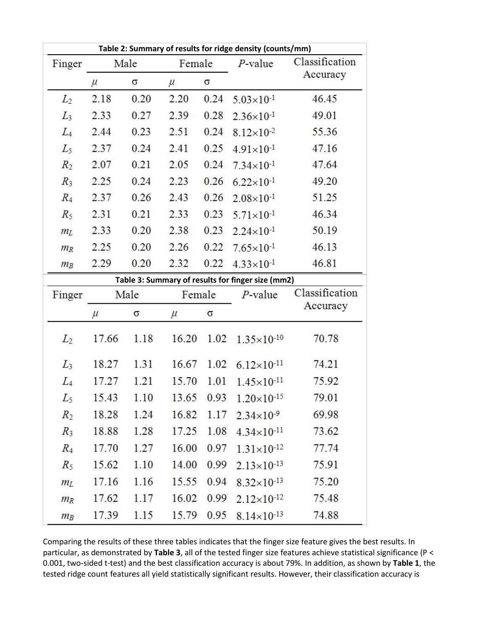|                |       |          |        |          | Table 2: Summary of results for ridge density (counts/mm) |                |
|----------------|-------|----------|--------|----------|-----------------------------------------------------------|----------------|
| Finger         |       | Male     | Female |          | $P$ -value                                                | Classification |
|                | $\mu$ | $\sigma$ | $\mu$  | $\sigma$ |                                                           | Accuracy       |
| $L_2$          | 2.18  | 0.20     | 2.20   | 0.24     | $5.03 \times 10^{-1}$                                     | 46.45          |
| $L_3$          | 2.33  | 0.27     | 2.39   | 0.28     | $2.36 \times 10^{-1}$                                     | 49.01          |
| $L_4$          | 2.44  | 0.23     | 2.51   | 0.24     | $8.12\times10^{-2}$                                       | 55.36          |
| $L_5$          | 2.37  | 0.24     | 2.41   | 0.25     | $4.91 \times 10^{-1}$                                     | 47.16          |
| $R_2$          | 2.07  | 0.21     | 2.05   | 0.24     | $7.34 \times 10^{-1}$                                     | 47.64          |
| $R_3$          | 2.25  | 0.24     | 2.23   | 0.26     | $6.22 \times 10^{-1}$                                     | 49.20          |
| $R_4$          | 2.37  | 0.26     | 2.43   | 0.26     | $2.08 \times 10^{-1}$                                     | 51.25          |
| $R_5$          | 2.31  | 0.21     | 2.33   | 0.23     | $5.71 \times 10^{-1}$                                     | 46.34          |
| m <sub>L</sub> | 2.33  | 0.20     | 2.38   | 0.23     | $2.24 \times 10^{-1}$                                     | 50.19          |
| $m_R$          | 2.25  | 0.20     | 2.26   | 0.22     | $7.65 \times 10^{-1}$                                     | 46.13          |
| $m_B$          | 2.29  | 0.20     | 2.32   | 0.22     | $4.33 \times 10^{-1}$                                     | 46.81          |
|                |       |          |        |          | Table 3: Summary of results for finger size (mm2)         |                |
| Finger         |       | Male     | Female |          | $P$ -value                                                | Classification |
|                | $\mu$ | $\sigma$ | $\mu$  | $\sigma$ |                                                           | Accuracy       |
| $L_2$          | 17.66 | 1.18     | 16.20  | 1.02     | $1.35 \times 10^{-10}$                                    | 70.78          |
| $L_3$          | 18.27 | 1.31     | 16.67  | 1.02     | $6.12\times10^{-11}$                                      | 74.21          |
| $L_4$          | 17.27 | 1.21     | 15.70  | 1.01     | $1.45 \times 10^{-11}$                                    | 75.92          |
| $L_5$          | 15.43 | 1.10     | 13.65  | 0.93     | $1.20\times10^{-15}$                                      | 79.01          |
| $R_2$          | 18.28 | 1.24     | 16.82  |          | 1.17 $2.34 \times 10^{-9}$                                | 69.98          |
| $R_3$          | 18.88 | 1.28     | 17.25  | 1.08     | $4.34\times10^{-11}$                                      | 73.62          |
| $R_4$          | 17.70 | 1.27     | 16.00  | 0.97     | $1.31\times10^{-12}$                                      | 77.74          |
| $R_5$          | 15.62 | 1.10     | 14.00  | 0.99     | $2.13\times10^{-13}$                                      | 75.91          |
| m <sub>L</sub> | 17.16 | 1.16     | 15.55  | 0.94     | $8.32\times10^{-13}$                                      | 75.20          |
| $m_R$          | 17.62 | 1.17     | 16.02  | 0.99     | $2.12\times10^{-12}$                                      | 75.48          |
| $m_B$          | 17.39 | 1.15     | 15.79  | 0.95     | $8.14\times10^{-13}$                                      | 74.88          |

Comparing the results of these three tables indicates that the finger size feature gives the best results. In particular, as demonstrated by **Table 3**, all of the tested finger size features achieve statistical significance (P < 0.001, two-sided t-test) and the best classification accuracy is about 79%. In addition, as shown by **Table 1**, the tested ridge count features all yield statistically significant results. However, their classification accuracy is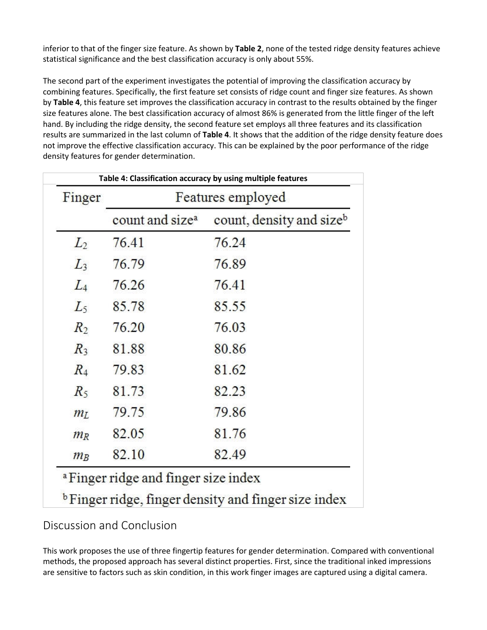inferior to that of the finger size feature. As shown by **Table 2**, none of the tested ridge density features achieve statistical significance and the best classification accuracy is only about 55%.

The second part of the experiment investigates the potential of improving the classification accuracy by combining features. Specifically, the first feature set consists of ridge count and finger size features. As shown by **Table 4**, this feature set improves the classification accuracy in contrast to the results obtained by the finger size features alone. The best classification accuracy of almost 86% is generated from the little finger of the left hand. By including the ridge density, the second feature set employs all three features and its classification results are summarized in the last column of **Table 4**. It shows that the addition of the ridge density feature does not improve the effective classification accuracy. This can be explained by the poor performance of the ridge density features for gender determination.

| count, density and size <sup>b</sup> |
|--------------------------------------|
|                                      |
|                                      |
|                                      |
|                                      |
|                                      |
|                                      |
|                                      |
|                                      |
|                                      |
|                                      |
|                                      |
|                                      |
|                                      |

# Discussion and Conclusion

This work proposes the use of three fingertip features for gender determination. Compared with conventional methods, the proposed approach has several distinct properties. First, since the traditional inked impressions are sensitive to factors such as skin condition, in this work finger images are captured using a digital camera.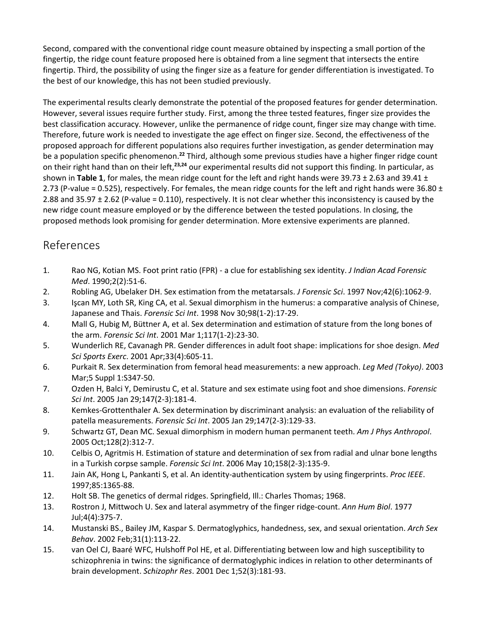Second, compared with the conventional ridge count measure obtained by inspecting a small portion of the fingertip, the ridge count feature proposed here is obtained from a line segment that intersects the entire fingertip. Third, the possibility of using the finger size as a feature for gender differentiation is investigated. To the best of our knowledge, this has not been studied previously.

The experimental results clearly demonstrate the potential of the proposed features for gender determination. However, several issues require further study. First, among the three tested features, finger size provides the best classification accuracy. However, unlike the permanence of ridge count, finger size may change with time. Therefore, future work is needed to investigate the age effect on finger size. Second, the effectiveness of the proposed approach for different populations also requires further investigation, as gender determination may be a population specific phenomenon.**<sup>22</sup>** Third, although some previous studies have a higher finger ridge count on their right hand than on their left,**23,24** our experimental results did not support this finding. In particular, as shown in **Table 1**, for males, the mean ridge count for the left and right hands were 39.73 ± 2.63 and 39.41 ± 2.73 (P-value = 0.525), respectively. For females, the mean ridge counts for the left and right hands were 36.80  $\pm$ 2.88 and 35.97 ± 2.62 (P-value = 0.110), respectively. It is not clear whether this inconsistency is caused by the new ridge count measure employed or by the difference between the tested populations. In closing, the proposed methods look promising for gender determination. More extensive experiments are planned.

# References

- 1. Rao NG, Kotian MS. Foot print ratio (FPR) a clue for establishing sex identity. *J Indian Acad Forensic Med*. 1990;2(2):51-6.
- 2. Robling AG, Ubelaker DH. Sex estimation from the metatarsals. *J Forensic Sci*. 1997 Nov;42(6):1062-9.
- 3. Işcan MY, Loth SR, King CA, et al. Sexual dimorphism in the humerus: a comparative analysis of Chinese, Japanese and Thais. *Forensic Sci Int*. 1998 Nov 30;98(1-2):17-29.
- 4. Mall G, Hubig M, Büttner A, et al. Sex determination and estimation of stature from the long bones of the arm. *Forensic Sci Int*. 2001 Mar 1;117(1-2):23-30.
- 5. Wunderlich RE, Cavanagh PR. Gender differences in adult foot shape: implications for shoe design. *Med Sci Sports Exerc*. 2001 Apr;33(4):605-11.
- 6. Purkait R. Sex determination from femoral head measurements: a new approach. *Leg Med (Tokyo)*. 2003 Mar;5 Suppl 1:S347-50.
- 7. Ozden H, Balci Y, Demirustu C, et al. Stature and sex estimate using foot and shoe dimensions. *Forensic Sci Int*. 2005 Jan 29;147(2-3):181-4.
- 8. Kemkes-Grottenthaler A. Sex determination by discriminant analysis: an evaluation of the reliability of patella measurements. *Forensic Sci Int*. 2005 Jan 29;147(2-3):129-33.
- 9. Schwartz GT, Dean MC. Sexual dimorphism in modern human permanent teeth. *Am J Phys Anthropol*. 2005 Oct;128(2):312-7.
- 10. Celbis O, Agritmis H. Estimation of stature and determination of sex from radial and ulnar bone lengths in a Turkish corpse sample. *Forensic Sci Int*. 2006 May 10;158(2-3):135-9.
- 11. Jain AK, Hong L, Pankanti S, et al. An identity-authentication system by using fingerprints. *Proc IEEE*. 1997;85:1365-88.
- 12. Holt SB. The genetics of dermal ridges. Springfield, Ill.: Charles Thomas; 1968.
- 13. Rostron J, Mittwoch U. Sex and lateral asymmetry of the finger ridge-count. *Ann Hum Biol*. 1977 Jul;4(4):375-7.
- 14. Mustanski BS., Bailey JM, Kaspar S. Dermatoglyphics, handedness, sex, and sexual orientation. *Arch Sex Behav*. 2002 Feb;31(1):113-22.
- 15. van Oel CJ, Baaré WFC, Hulshoff Pol HE, et al. Differentiating between low and high susceptibility to schizophrenia in twins: the significance of dermatoglyphic indices in relation to other determinants of brain development. *Schizophr Res*. 2001 Dec 1;52(3):181-93.